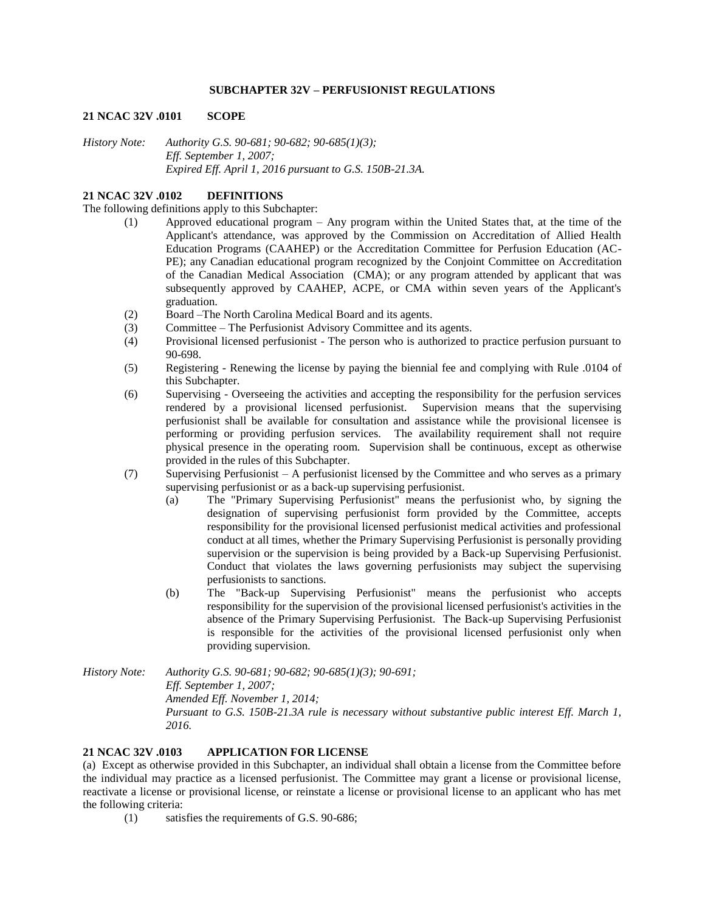### **SUBCHAPTER 32V – PERFUSIONIST REGULATIONS**

#### **21 NCAC 32V .0101 SCOPE**

*History Note: Authority G.S. 90-681; 90-682; 90-685(1)(3); Eff. September 1, 2007; Expired Eff. April 1, 2016 pursuant to G.S. 150B-21.3A.*

#### **21 NCAC 32V .0102 DEFINITIONS**

The following definitions apply to this Subchapter:

- (1) Approved educational program Any program within the United States that, at the time of the Applicant's attendance, was approved by the Commission on Accreditation of Allied Health Education Programs (CAAHEP) or the Accreditation Committee for Perfusion Education (AC-PE); any Canadian educational program recognized by the Conjoint Committee on Accreditation of the Canadian Medical Association (CMA); or any program attended by applicant that was subsequently approved by CAAHEP, ACPE, or CMA within seven years of the Applicant's graduation.
- (2) Board –The North Carolina Medical Board and its agents.
- (3) Committee The Perfusionist Advisory Committee and its agents.
- (4) Provisional licensed perfusionist The person who is authorized to practice perfusion pursuant to 90-698.
- (5) Registering Renewing the license by paying the biennial fee and complying with Rule .0104 of this Subchapter.
- (6) Supervising Overseeing the activities and accepting the responsibility for the perfusion services rendered by a provisional licensed perfusionist. Supervision means that the supervising perfusionist shall be available for consultation and assistance while the provisional licensee is performing or providing perfusion services. The availability requirement shall not require physical presence in the operating room. Supervision shall be continuous, except as otherwise provided in the rules of this Subchapter.
- (7) Supervising Perfusionist A perfusionist licensed by the Committee and who serves as a primary supervising perfusionist or as a back-up supervising perfusionist.
	- (a) The "Primary Supervising Perfusionist" means the perfusionist who, by signing the designation of supervising perfusionist form provided by the Committee, accepts responsibility for the provisional licensed perfusionist medical activities and professional conduct at all times, whether the Primary Supervising Perfusionist is personally providing supervision or the supervision is being provided by a Back-up Supervising Perfusionist. Conduct that violates the laws governing perfusionists may subject the supervising perfusionists to sanctions.
	- (b) The "Back-up Supervising Perfusionist" means the perfusionist who accepts responsibility for the supervision of the provisional licensed perfusionist's activities in the absence of the Primary Supervising Perfusionist. The Back-up Supervising Perfusionist is responsible for the activities of the provisional licensed perfusionist only when providing supervision.

*History Note: Authority G.S. 90-681; 90-682; 90-685(1)(3); 90-691; Eff. September 1, 2007; Amended Eff. November 1, 2014; Pursuant to G.S. 150B-21.3A rule is necessary without substantive public interest Eff. March 1, 2016.*

# **21 NCAC 32V .0103 APPLICATION FOR LICENSE**

(a) Except as otherwise provided in this Subchapter, an individual shall obtain a license from the Committee before the individual may practice as a licensed perfusionist. The Committee may grant a license or provisional license, reactivate a license or provisional license, or reinstate a license or provisional license to an applicant who has met the following criteria:

(1) satisfies the requirements of G.S. 90-686;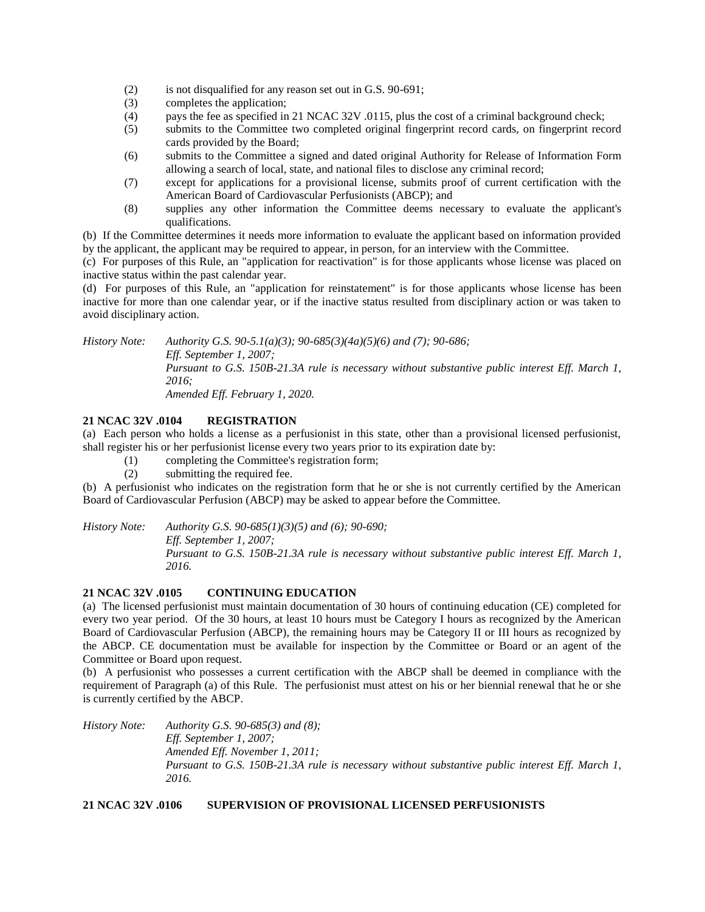- (2) is not disqualified for any reason set out in G.S. 90-691;
- (3) completes the application;
- (4) pays the fee as specified in 21 NCAC 32V .0115, plus the cost of a criminal background check;
- (5) submits to the Committee two completed original fingerprint record cards, on fingerprint record cards provided by the Board;
- (6) submits to the Committee a signed and dated original Authority for Release of Information Form allowing a search of local, state, and national files to disclose any criminal record;
- (7) except for applications for a provisional license, submits proof of current certification with the American Board of Cardiovascular Perfusionists (ABCP); and
- (8) supplies any other information the Committee deems necessary to evaluate the applicant's qualifications.

(b) If the Committee determines it needs more information to evaluate the applicant based on information provided by the applicant, the applicant may be required to appear, in person, for an interview with the Committee.

(c) For purposes of this Rule, an "application for reactivation" is for those applicants whose license was placed on inactive status within the past calendar year.

(d) For purposes of this Rule, an "application for reinstatement" is for those applicants whose license has been inactive for more than one calendar year, or if the inactive status resulted from disciplinary action or was taken to avoid disciplinary action.

*History Note: Authority G.S. 90-5.1(a)(3); 90-685(3)(4a)(5)(6) and (7); 90-686; Eff. September 1, 2007; Pursuant to G.S. 150B-21.3A rule is necessary without substantive public interest Eff. March 1, 2016; Amended Eff. February 1, 2020.*

# **21 NCAC 32V .0104 REGISTRATION**

(a) Each person who holds a license as a perfusionist in this state, other than a provisional licensed perfusionist, shall register his or her perfusionist license every two years prior to its expiration date by:

- (1) completing the Committee's registration form;
- (2) submitting the required fee.

(b) A perfusionist who indicates on the registration form that he or she is not currently certified by the American Board of Cardiovascular Perfusion (ABCP) may be asked to appear before the Committee.

*History Note: Authority G.S. 90-685(1)(3)(5) and (6); 90-690;*

*Eff. September 1, 2007;*

*Pursuant to G.S. 150B-21.3A rule is necessary without substantive public interest Eff. March 1, 2016.*

# **21 NCAC 32V .0105 CONTINUING EDUCATION**

(a) The licensed perfusionist must maintain documentation of 30 hours of continuing education (CE) completed for every two year period. Of the 30 hours, at least 10 hours must be Category I hours as recognized by the American Board of Cardiovascular Perfusion (ABCP), the remaining hours may be Category II or III hours as recognized by the ABCP. CE documentation must be available for inspection by the Committee or Board or an agent of the Committee or Board upon request.

(b) A perfusionist who possesses a current certification with the ABCP shall be deemed in compliance with the requirement of Paragraph (a) of this Rule. The perfusionist must attest on his or her biennial renewal that he or she is currently certified by the ABCP.

*History Note: Authority G.S. 90-685(3) and (8); Eff. September 1, 2007; Amended Eff. November 1, 2011; Pursuant to G.S. 150B-21.3A rule is necessary without substantive public interest Eff. March 1, 2016.*

# **21 NCAC 32V .0106 SUPERVISION OF PROVISIONAL LICENSED PERFUSIONISTS**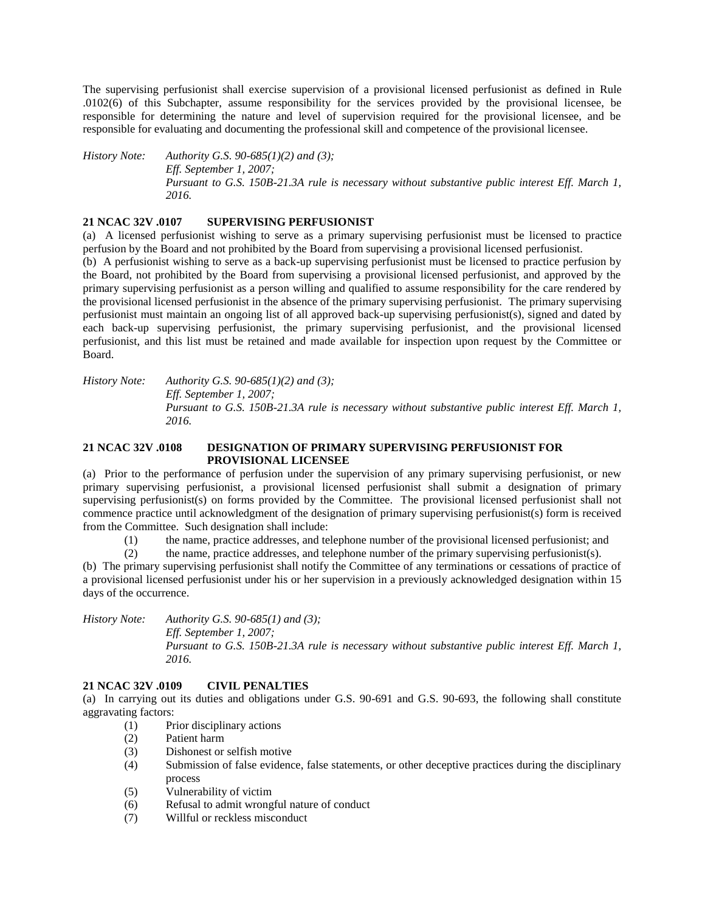The supervising perfusionist shall exercise supervision of a provisional licensed perfusionist as defined in Rule .0102(6) of this Subchapter, assume responsibility for the services provided by the provisional licensee, be responsible for determining the nature and level of supervision required for the provisional licensee, and be responsible for evaluating and documenting the professional skill and competence of the provisional licensee.

*History Note: Authority G.S. 90-685(1)(2) and (3); Eff. September 1, 2007; Pursuant to G.S. 150B-21.3A rule is necessary without substantive public interest Eff. March 1, 2016.*

#### **21 NCAC 32V .0107 SUPERVISING PERFUSIONIST**

(a) A licensed perfusionist wishing to serve as a primary supervising perfusionist must be licensed to practice perfusion by the Board and not prohibited by the Board from supervising a provisional licensed perfusionist.

(b) A perfusionist wishing to serve as a back-up supervising perfusionist must be licensed to practice perfusion by the Board, not prohibited by the Board from supervising a provisional licensed perfusionist, and approved by the primary supervising perfusionist as a person willing and qualified to assume responsibility for the care rendered by the provisional licensed perfusionist in the absence of the primary supervising perfusionist. The primary supervising perfusionist must maintain an ongoing list of all approved back-up supervising perfusionist(s), signed and dated by each back-up supervising perfusionist, the primary supervising perfusionist, and the provisional licensed perfusionist, and this list must be retained and made available for inspection upon request by the Committee or Board.

*History Note: Authority G.S. 90-685(1)(2) and (3); Eff. September 1, 2007; Pursuant to G.S. 150B-21.3A rule is necessary without substantive public interest Eff. March 1, 2016.*

## **21 NCAC 32V .0108 DESIGNATION OF PRIMARY SUPERVISING PERFUSIONIST FOR PROVISIONAL LICENSEE**

(a) Prior to the performance of perfusion under the supervision of any primary supervising perfusionist, or new primary supervising perfusionist, a provisional licensed perfusionist shall submit a designation of primary supervising perfusionist(s) on forms provided by the Committee. The provisional licensed perfusionist shall not commence practice until acknowledgment of the designation of primary supervising perfusionist(s) form is received from the Committee. Such designation shall include:

(1) the name, practice addresses, and telephone number of the provisional licensed perfusionist; and

(2) the name, practice addresses, and telephone number of the primary supervising perfusionist(s).

(b) The primary supervising perfusionist shall notify the Committee of any terminations or cessations of practice of a provisional licensed perfusionist under his or her supervision in a previously acknowledged designation within 15 days of the occurrence.

*History Note: Authority G.S. 90-685(1) and (3); Eff. September 1, 2007; Pursuant to G.S. 150B-21.3A rule is necessary without substantive public interest Eff. March 1, 2016.*

# **21 NCAC 32V .0109 CIVIL PENALTIES**

(a) In carrying out its duties and obligations under G.S. 90-691 and G.S. 90-693, the following shall constitute aggravating factors:

- (1) Prior disciplinary actions
- (2) Patient harm
- (3) Dishonest or selfish motive
- (4) Submission of false evidence, false statements, or other deceptive practices during the disciplinary process
- (5) Vulnerability of victim
- (6) Refusal to admit wrongful nature of conduct
- (7) Willful or reckless misconduct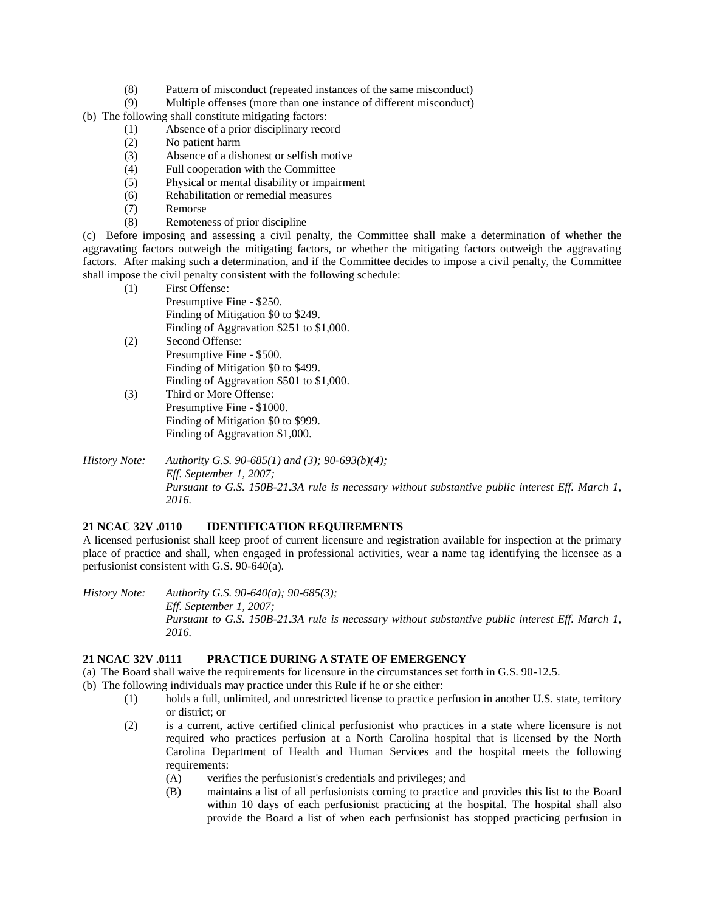- (8) Pattern of misconduct (repeated instances of the same misconduct)
- (9) Multiple offenses (more than one instance of different misconduct)
- (b) The following shall constitute mitigating factors:
	- (1) Absence of a prior disciplinary record
	- (2) No patient harm
	- (3) Absence of a dishonest or selfish motive
	- (4) Full cooperation with the Committee
	- (5) Physical or mental disability or impairment
	- (6) Rehabilitation or remedial measures
	- (7) Remorse
	- (8) Remoteness of prior discipline

(c) Before imposing and assessing a civil penalty, the Committee shall make a determination of whether the aggravating factors outweigh the mitigating factors, or whether the mitigating factors outweigh the aggravating factors. After making such a determination, and if the Committee decides to impose a civil penalty, the Committee shall impose the civil penalty consistent with the following schedule:

- (1) First Offense: Presumptive Fine - \$250. Finding of Mitigation \$0 to \$249. Finding of Aggravation \$251 to \$1,000.
- (2) Second Offense: Presumptive Fine - \$500. Finding of Mitigation \$0 to \$499. Finding of Aggravation \$501 to \$1,000.
- (3) Third or More Offense: Presumptive Fine - \$1000. Finding of Mitigation \$0 to \$999. Finding of Aggravation \$1,000.
- *History Note: Authority G.S. 90-685(1) and (3); 90-693(b)(4); Eff. September 1, 2007; Pursuant to G.S. 150B-21.3A rule is necessary without substantive public interest Eff. March 1, 2016.*

## **21 NCAC 32V .0110 IDENTIFICATION REQUIREMENTS**

A licensed perfusionist shall keep proof of current licensure and registration available for inspection at the primary place of practice and shall, when engaged in professional activities, wear a name tag identifying the licensee as a perfusionist consistent with G.S. 90-640(a).

*History Note: Authority G.S. 90-640(a); 90-685(3); Eff. September 1, 2007; Pursuant to G.S. 150B-21.3A rule is necessary without substantive public interest Eff. March 1, 2016.*

### **21 NCAC 32V .0111 PRACTICE DURING A STATE OF EMERGENCY**

(a) The Board shall waive the requirements for licensure in the circumstances set forth in G.S. 90-12.5.

- (b) The following individuals may practice under this Rule if he or she either:
	- (1) holds a full, unlimited, and unrestricted license to practice perfusion in another U.S. state, territory or district; or
	- (2) is a current, active certified clinical perfusionist who practices in a state where licensure is not required who practices perfusion at a North Carolina hospital that is licensed by the North Carolina Department of Health and Human Services and the hospital meets the following requirements:
		- (A) verifies the perfusionist's credentials and privileges; and
		- (B) maintains a list of all perfusionists coming to practice and provides this list to the Board within 10 days of each perfusionist practicing at the hospital. The hospital shall also provide the Board a list of when each perfusionist has stopped practicing perfusion in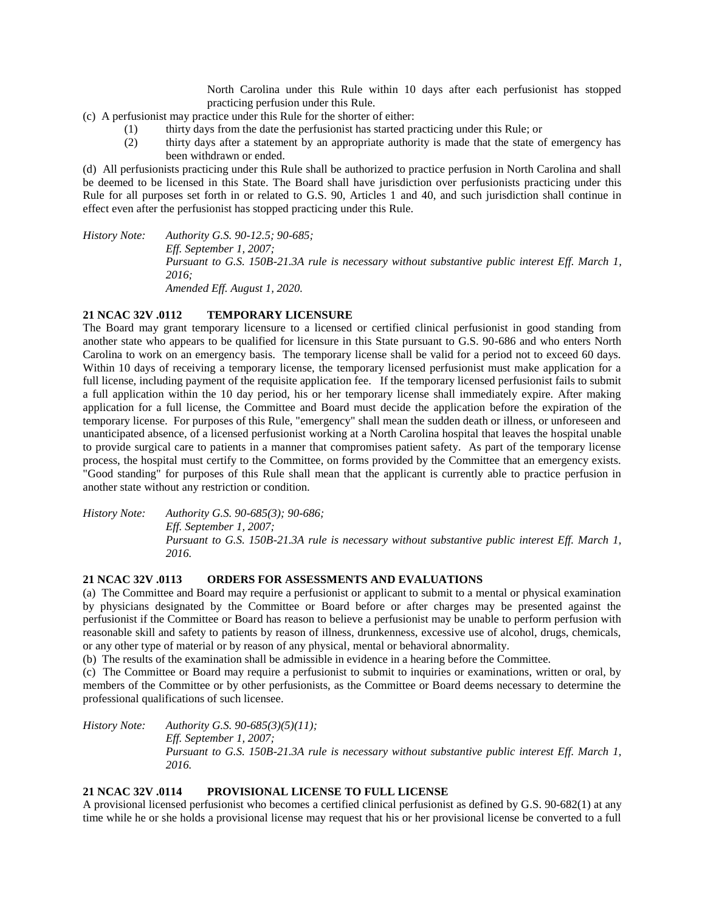North Carolina under this Rule within 10 days after each perfusionist has stopped practicing perfusion under this Rule.

- (c) A perfusionist may practice under this Rule for the shorter of either:
	- (1) thirty days from the date the perfusionist has started practicing under this Rule; or
	- (2) thirty days after a statement by an appropriate authority is made that the state of emergency has been withdrawn or ended.

(d) All perfusionists practicing under this Rule shall be authorized to practice perfusion in North Carolina and shall be deemed to be licensed in this State. The Board shall have jurisdiction over perfusionists practicing under this Rule for all purposes set forth in or related to G.S. 90, Articles 1 and 40, and such jurisdiction shall continue in effect even after the perfusionist has stopped practicing under this Rule.

*History Note: Authority G.S. 90-12.5; 90-685; Eff. September 1, 2007; Pursuant to G.S. 150B-21.3A rule is necessary without substantive public interest Eff. March 1, 2016; Amended Eff. August 1, 2020.*

#### **21 NCAC 32V .0112 TEMPORARY LICENSURE**

The Board may grant temporary licensure to a licensed or certified clinical perfusionist in good standing from another state who appears to be qualified for licensure in this State pursuant to G.S. 90-686 and who enters North Carolina to work on an emergency basis. The temporary license shall be valid for a period not to exceed 60 days. Within 10 days of receiving a temporary license, the temporary licensed perfusionist must make application for a full license, including payment of the requisite application fee. If the temporary licensed perfusionist fails to submit a full application within the 10 day period, his or her temporary license shall immediately expire. After making application for a full license, the Committee and Board must decide the application before the expiration of the temporary license. For purposes of this Rule, "emergency" shall mean the sudden death or illness, or unforeseen and unanticipated absence, of a licensed perfusionist working at a North Carolina hospital that leaves the hospital unable to provide surgical care to patients in a manner that compromises patient safety. As part of the temporary license process, the hospital must certify to the Committee, on forms provided by the Committee that an emergency exists. "Good standing" for purposes of this Rule shall mean that the applicant is currently able to practice perfusion in another state without any restriction or condition.

*History Note: Authority G.S. 90-685(3); 90-686; Eff. September 1, 2007; Pursuant to G.S. 150B-21.3A rule is necessary without substantive public interest Eff. March 1, 2016.*

#### **21 NCAC 32V .0113 ORDERS FOR ASSESSMENTS AND EVALUATIONS**

(a) The Committee and Board may require a perfusionist or applicant to submit to a mental or physical examination by physicians designated by the Committee or Board before or after charges may be presented against the perfusionist if the Committee or Board has reason to believe a perfusionist may be unable to perform perfusion with reasonable skill and safety to patients by reason of illness, drunkenness, excessive use of alcohol, drugs, chemicals, or any other type of material or by reason of any physical, mental or behavioral abnormality.

(b) The results of the examination shall be admissible in evidence in a hearing before the Committee.

(c) The Committee or Board may require a perfusionist to submit to inquiries or examinations, written or oral, by members of the Committee or by other perfusionists, as the Committee or Board deems necessary to determine the professional qualifications of such licensee.

*History Note: Authority G.S. 90-685(3)(5)(11); Eff. September 1, 2007; Pursuant to G.S. 150B-21.3A rule is necessary without substantive public interest Eff. March 1, 2016.*

## **21 NCAC 32V .0114 PROVISIONAL LICENSE TO FULL LICENSE**

A provisional licensed perfusionist who becomes a certified clinical perfusionist as defined by G.S. 90-682(1) at any time while he or she holds a provisional license may request that his or her provisional license be converted to a full